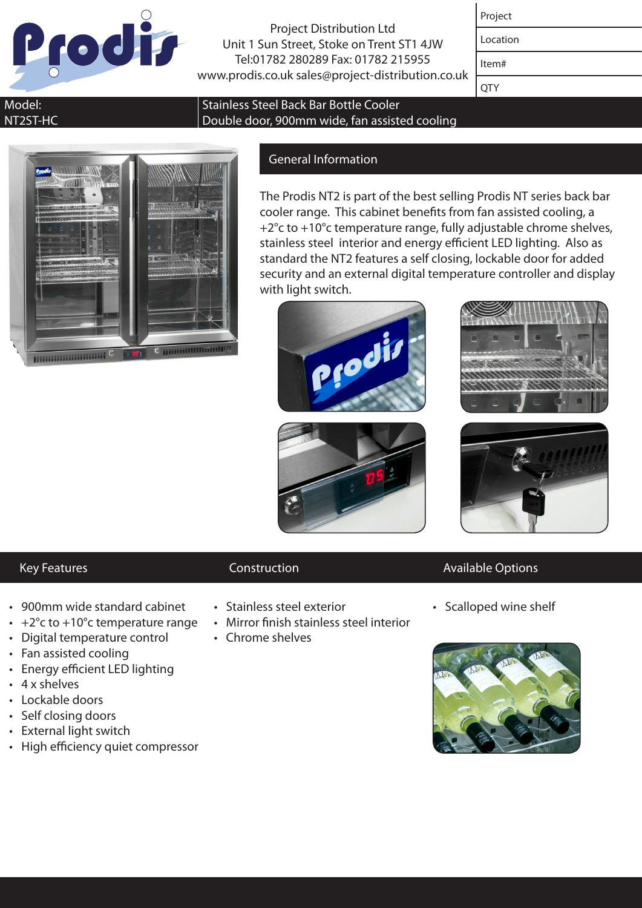

Project Distribution Ltd Unit 1 Sun Street, Stoke on Trent ST1 4JW Tel:01782 280289 Fax: 01782 215955 www.prodis.co.uk sales@project-distribution.co.uk

| Projec |
|--------|
|--------|

Location

Item#

**OTY** 

### Model: NT2ST-HC



# General Information

Double door, 900mm wide, fan assisted cooling

Stainless Steel Back Bar Bottle Cooler

The Prodis NT2 is part of the best selling Prodis NT series back bar cooler range. This cabinet benefits from fan assisted cooling, a +2°c to +10°c temperature range, fully adjustable chrome shelves, stainless steel interior and energy efficient LED lighting. Also as standard the NT2 features a self closing, lockable door for added security and an external digital temperature controller and display with light switch.







- 
- • 900mm wide standard cabinet
- $\cdot$  +2°c to +10°c temperature range
- Digital temperature control
- Fan assisted cooling
- • Energy efficient LED lighting
- • 4 x shelves
- Lockable doors
- • Self closing doors
- • External light switch
- High efficiency quiet compressor

- • Stainless steel exterior
- • Mirror finish stainless steel interior
- Chrome shelves

## Key Features **Construction** Construction **Available Options**

• Scalloped wine shelf